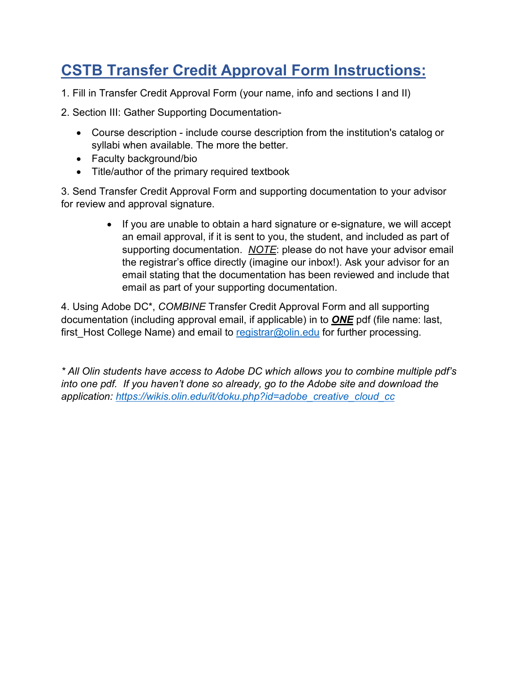# **CSTB Transfer Credit Approval Form Instructions:**

1. Fill in Transfer Credit Approval Form (your name, info and sections I and II)

2. Section III: Gather Supporting Documentation-

- Course description include course description from the institution's catalog or syllabi when available. The more the better.
- Faculty background/bio
- Title/author of the primary required textbook

3. Send Transfer Credit Approval Form and supporting documentation to your advisor for review and approval signature.

> • If you are unable to obtain a hard signature or e-signature, we will accept an email approval, if it is sent to you, the student, and included as part of supporting documentation. *NOTE*: please do not have your advisor email the registrar's office directly (imagine our inbox!). Ask your advisor for an email stating that the documentation has been reviewed and include that email as part of your supporting documentation.

4. Using Adobe DC\*, *COMBINE* Transfer Credit Approval Form and all supporting documentation (including approval email, if applicable) in to *ONE* pdf (file name: last, first Host College Name) and email to [registrar@olin.edu](mailto:registrar@olin.edu) for further processing.

*\* All Olin students have access to Adobe DC which allows you to combine multiple pdf's into one pdf. If you haven't done so already, go to the Adobe site and download the application: [https://wikis.olin.edu/it/doku.php?id=adobe\\_creative\\_cloud\\_cc](https://wikis.olin.edu/it/doku.php?id=adobe_creative_cloud_cc)*